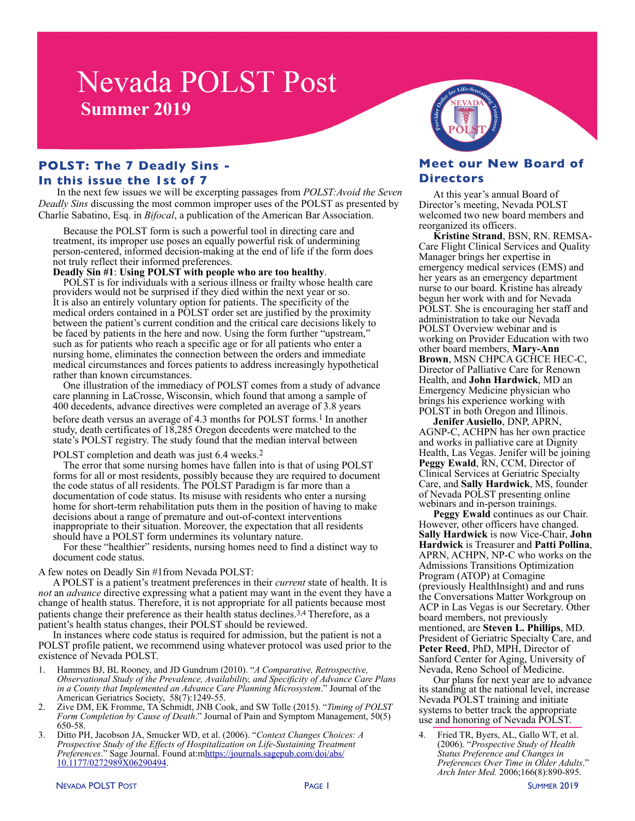# **Nevada POLST Post Summer 2019**

#### **POLST: The 7 Deadly Sins - In this issue the 1st of 7**

In the next few issues we will be excerpting passages from *POLST:Avoid the Seven Deadly Sins* discussing the most common improper uses of the POLST as presented by Charlie Sabatino, Esq. in *Bifocal*, a publication of the American Bar Association.

Because the POLST form is such a powerful tool in directing care and treatment, its improper use poses an equally powerful risk of undermining person-centered, informed decision-making at the end of life if the form does not truly reflect their informed preferences.

**Deadly Sin #1: Using POLST with people who are too healthy.** POLST is for individuals with a serious illness or frailty whose health care providers would not be surprised if they died within the next year or so. It is also an entirely voluntary option for patients. The specificity of the medical orders contained in a POLST order set are justified by the proximity between the patient's current condition and the critical care decisions likely to be faced by patients in the here and now. Using the form further "upstream," such as for patients who reach a specific age or for all patients who enter a nursing home, eliminates the connection between the orders and immediate medical circumstances and forces patients to address increasingly hypothetical rather than known circumstances.

One illustration of the immediacy of POLST comes from a study of advance care planning in LaCrosse, Wisconsin, which found that among a sample of 400 decedents, advance directives were completed an average of 3.8 years

before death versus an average of 4.3 months for POLST forms.<sup>1</sup> In another study, death certificates of 18,285 Oregon decedents were matched to the state's POLST registry. The study found that the median interval between

#### POLST completion and death was just 6.4 weeks.<sup>2</sup>

The error that some nursing homes have fallen into is that of using POLST forms for all or most residents, possibly because they are required to document the code status of all residents. The POLST Paradigm is far more than a documentation of code status. Its misuse with residents who enter a nursing home for short-term rehabilitation puts them in the position of having to make decisions about a range of premature and out-of-context interventions inappropriate to their situation. Moreover, the expectation that all residents should have a POLST form undermines its voluntary nature.

For these "healthier" residents, nursing homes need to find a distinct way to document code status.

A few notes on Deadly Sin #1from Nevada POLST:

A POLST is a patient's treatment preferences in their *current* state of health. It is *not* an *advance* directive expressing what a patient may want in the event they have a change of health status. Therefore, it is not appropriate for all patients because most patients change their preference as their health status declines.<sup>3,4</sup> Therefore, as a patient's health status changes, their POLST should be reviewed.

In instances where code status is required for admission, but the patient is not a POLST profile patient, we recommend using whatever protocol was used prior to the existence of Nevada POLST.

- 1. Hammes BJ, BL Rooney, and JD Gundrum (2010). "*A Comparative, Retrospective, Observational Study of the Prevalence, Availability, and Specificity of Advance Care Plans in a County that Implemented an Advance Care Planning Microsystem*." Journal of the American Geriatrics Society, 58(7):1249-55.
- 2. Zive DM, EK Fromme, TA Schmidt, JNB Cook, and SW Tolle (2015). "*Timing of POLST Form Completion by Cause of Death*." Journal of Pain and Symptom Management, 50(5) 650-58.
- 3. Ditto PH, Jacobson JA, Smucker WD, et al. (2006). "*Context Changes Choices: A Prospective Study of the Effects of Hospitalization on Life-Sustaining Treatment Preferences*." Sage Journal. Found at:m[https://journals.sagepub.com/doi/abs/](https://journals.sagepub.com/doi/abs/10.1177/0272989X06290494) [10.1177/0272989X06290494](https://journals.sagepub.com/doi/abs/10.1177/0272989X06290494).



#### **Meet our New Board of Directors**

At this year's annual Board of Director's meeting, Nevada POLST welcomed two new board members and reorganized its officers.

**Kristine Strand**, BSN, RN. REMSA-Care Flight Clinical Services and Quality Manager brings her expertise in emergency medical services (EMS) and her years as an emergency department nurse to our board. Kristine has already begun her work with and for Nevada POLST. She is encouraging her staff and administration to take our Nevada POLST Overview webinar and is working on Provider Education with two other board members, **Mary-Ann Brown**, MSN CHPCA GCHCE HEC-C, Director of Palliative Care for Renown Health, and **John Hardwick**, MD an Emergency Medicine physician who brings his experience working with POLST in both Oregon and Illinois.

**Jenifer Ausiello**, DNP, APRN, AGNP-C, ACHPN has her own practice and works in palliative care at Dignity Health, Las Vegas. Jenifer will be joining **Peggy Ewald**, RN, CCM, Director of Clinical Services at Geriatric Specialty Care, and **Sally Hardwick**, MS, founder of Nevada POLST presenting online webinars and in-person trainings.

**Peggy Ewald** continues as our Chair. However, other officers have changed. **Sally Hardwick** is now Vice-Chair, **John Hardwick** is Treasurer and **Patti Pollina**, APRN, ACHPN, NP-C who works on the Admissions Transitions Optimization Program (ATOP) at Comagine (previously HealthInsight) and and runs the Conversations Matter Workgroup on ACP in Las Vegas is our Secretary. Other board members, not previously mentioned, are **Steven L. Phillips**, MD. President of Geriatric Specialty Care, and **Peter Reed**, PhD, MPH, Director of Sanford Center for Aging, University of

Nevada, Reno School of Medicine. its standing at the national level, increase Nevada POLST training and initiate systems to better track the appropriate use and honoring of Nevada POLST.

4. Fried TR, Byers, AL, Gallo WT, et al. (2006). "*Prospective Study of Health Status Preference and Changes in Preferences Over Time in Older Adults*." *Arch Inter Med.* 2006;166(8):890-895.